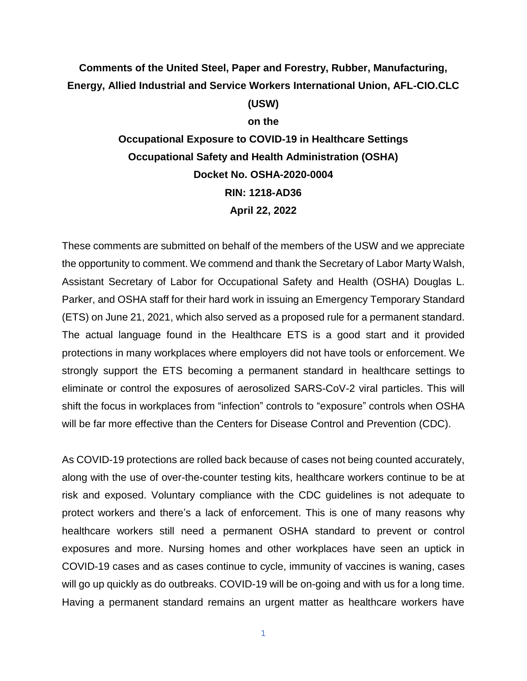# **Comments of the United Steel, Paper and Forestry, Rubber, Manufacturing, Energy, Allied Industrial and Service Workers International Union, AFL-CIO.CLC**

#### **(USW)**

#### **on the**

**Occupational Exposure to COVID-19 in Healthcare Settings Occupational Safety and Health Administration (OSHA) Docket No. OSHA-2020-0004 RIN: 1218-AD36 April 22, 2022**

These comments are submitted on behalf of the members of the USW and we appreciate the opportunity to comment. We commend and thank the Secretary of Labor Marty Walsh, Assistant Secretary of Labor for Occupational Safety and Health (OSHA) Douglas L. Parker, and OSHA staff for their hard work in issuing an Emergency Temporary Standard (ETS) on June 21, 2021, which also served as a proposed rule for a permanent standard. The actual language found in the Healthcare ETS is a good start and it provided protections in many workplaces where employers did not have tools or enforcement. We strongly support the ETS becoming a permanent standard in healthcare settings to eliminate or control the exposures of aerosolized SARS-CoV-2 viral particles. This will shift the focus in workplaces from "infection" controls to "exposure" controls when OSHA will be far more effective than the Centers for Disease Control and Prevention (CDC).

As COVID-19 protections are rolled back because of cases not being counted accurately, along with the use of over-the-counter testing kits, healthcare workers continue to be at risk and exposed. Voluntary compliance with the CDC guidelines is not adequate to protect workers and there's a lack of enforcement. This is one of many reasons why healthcare workers still need a permanent OSHA standard to prevent or control exposures and more. Nursing homes and other workplaces have seen an uptick in COVID-19 cases and as cases continue to cycle, immunity of vaccines is waning, cases will go up quickly as do outbreaks. COVID-19 will be on-going and with us for a long time. Having a permanent standard remains an urgent matter as healthcare workers have

1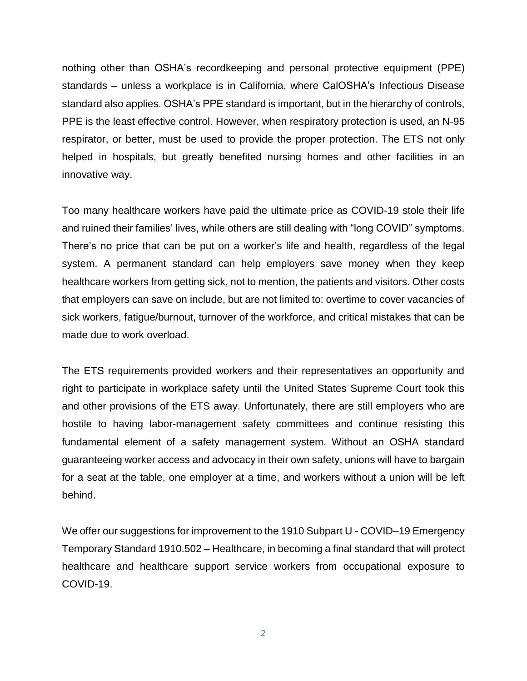nothing other than OSHA's recordkeeping and personal protective equipment (PPE) standards – unless a workplace is in California, where CalOSHA's Infectious Disease standard also applies. OSHA's PPE standard is important, but in the hierarchy of controls, PPE is the least effective control. However, when respiratory protection is used, an N-95 respirator, or better, must be used to provide the proper protection. The ETS not only helped in hospitals, but greatly benefited nursing homes and other facilities in an innovative way.

Too many healthcare workers have paid the ultimate price as COVID-19 stole their life and ruined their families' lives, while others are still dealing with "long COVID" symptoms. There's no price that can be put on a worker's life and health, regardless of the legal system. A permanent standard can help employers save money when they keep healthcare workers from getting sick, not to mention, the patients and visitors. Other costs that employers can save on include, but are not limited to: overtime to cover vacancies of sick workers, fatigue/burnout, turnover of the workforce, and critical mistakes that can be made due to work overload.

The ETS requirements provided workers and their representatives an opportunity and right to participate in workplace safety until the United States Supreme Court took this and other provisions of the ETS away. Unfortunately, there are still employers who are hostile to having labor-management safety committees and continue resisting this fundamental element of a safety management system. Without an OSHA standard guaranteeing worker access and advocacy in their own safety, unions will have to bargain for a seat at the table, one employer at a time, and workers without a union will be left behind.

We offer our suggestions for improvement to the 1910 Subpart U - COVID–19 Emergency Temporary Standard 1910.502 – Healthcare, in becoming a final standard that will protect healthcare and healthcare support service workers from occupational exposure to COVID-19.

2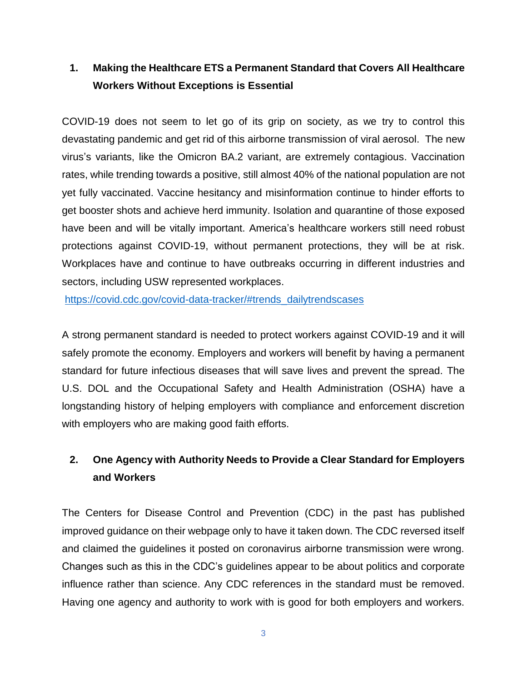## **1. Making the Healthcare ETS a Permanent Standard that Covers All Healthcare Workers Without Exceptions is Essential**

COVID-19 does not seem to let go of its grip on society, as we try to control this devastating pandemic and get rid of this airborne transmission of viral aerosol. The new virus's variants, like the Omicron BA.2 variant, are extremely contagious. Vaccination rates, while trending towards a positive, still almost 40% of the national population are not yet fully vaccinated. Vaccine hesitancy and misinformation continue to hinder efforts to get booster shots and achieve herd immunity. Isolation and quarantine of those exposed have been and will be vitally important. America's healthcare workers still need robust protections against COVID-19, without permanent protections, they will be at risk. Workplaces have and continue to have outbreaks occurring in different industries and sectors, including USW represented workplaces.

[https://covid.cdc.gov/covid-data-tracker/#trends\\_dailytrendscases](https://covid.cdc.gov/covid-data-tracker/#trends_dailytrendscases)

A strong permanent standard is needed to protect workers against COVID-19 and it will safely promote the economy. Employers and workers will benefit by having a permanent standard for future infectious diseases that will save lives and prevent the spread. The U.S. DOL and the Occupational Safety and Health Administration (OSHA) have a longstanding history of helping employers with compliance and enforcement discretion with employers who are making good faith efforts.

## **2. One Agency with Authority Needs to Provide a Clear Standard for Employers and Workers**

The Centers for Disease Control and Prevention (CDC) in the past has published improved guidance on their webpage only to have it taken down. The CDC reversed itself and claimed the guidelines it posted on coronavirus airborne transmission were wrong. Changes such as this in the CDC's guidelines appear to be about politics and corporate influence rather than science. Any CDC references in the standard must be removed. Having one agency and authority to work with is good for both employers and workers.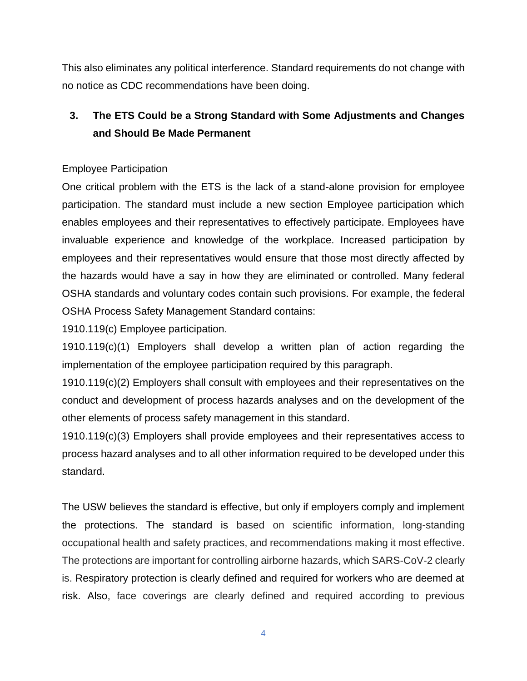This also eliminates any political interference. Standard requirements do not change with no notice as CDC recommendations have been doing.

## **3. The ETS Could be a Strong Standard with Some Adjustments and Changes and Should Be Made Permanent**

### Employee Participation

One critical problem with the ETS is the lack of a stand-alone provision for employee participation. The standard must include a new section Employee participation which enables employees and their representatives to effectively participate. Employees have invaluable experience and knowledge of the workplace. Increased participation by employees and their representatives would ensure that those most directly affected by the hazards would have a say in how they are eliminated or controlled. Many federal OSHA standards and voluntary codes contain such provisions. For example, the federal OSHA Process Safety Management Standard contains:

1910.119(c) Employee participation.

1910.119(c)(1) Employers shall develop a written plan of action regarding the implementation of the employee participation required by this paragraph.

1910.119(c)(2) Employers shall consult with employees and their representatives on the conduct and development of process hazards analyses and on the development of the other elements of process safety management in this standard.

1910.119(c)(3) Employers shall provide employees and their representatives access to process hazard analyses and to all other information required to be developed under this standard.

The USW believes the standard is effective, but only if employers comply and implement the protections. The standard is based on scientific information, long-standing occupational health and safety practices, and recommendations making it most effective. The protections are important for controlling airborne hazards, which SARS-CoV-2 clearly is. Respiratory protection is clearly defined and required for workers who are deemed at risk. Also, face coverings are clearly defined and required according to previous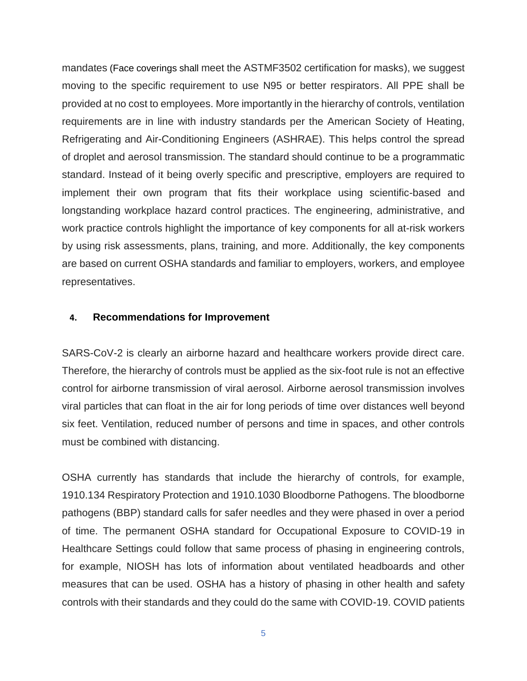mandates (Face coverings shall meet the ASTMF3502 certification for masks), we suggest moving to the specific requirement to use N95 or better respirators. All PPE shall be provided at no cost to employees. More importantly in the hierarchy of controls, ventilation requirements are in line with industry standards per the American Society of Heating, Refrigerating and Air-Conditioning Engineers (ASHRAE). This helps control the spread of droplet and aerosol transmission. The standard should continue to be a programmatic standard. Instead of it being overly specific and prescriptive, employers are required to implement their own program that fits their workplace using scientific-based and longstanding workplace hazard control practices. The engineering, administrative, and work practice controls highlight the importance of key components for all at-risk workers by using risk assessments, plans, training, and more. Additionally, the key components are based on current OSHA standards and familiar to employers, workers, and employee representatives.

#### **4. Recommendations for Improvement**

SARS-CoV-2 is clearly an airborne hazard and healthcare workers provide direct care. Therefore, the hierarchy of controls must be applied as the six-foot rule is not an effective control for airborne transmission of viral aerosol. Airborne aerosol transmission involves viral particles that can float in the air for long periods of time over distances well beyond six feet. Ventilation, reduced number of persons and time in spaces, and other controls must be combined with distancing.

OSHA currently has standards that include the hierarchy of controls, for example, 1910.134 Respiratory Protection and 1910.1030 Bloodborne Pathogens. The bloodborne pathogens (BBP) standard calls for safer needles and they were phased in over a period of time. The permanent OSHA standard for Occupational Exposure to COVID-19 in Healthcare Settings could follow that same process of phasing in engineering controls, for example, NIOSH has lots of information about ventilated headboards and other measures that can be used. OSHA has a history of phasing in other health and safety controls with their standards and they could do the same with COVID-19. COVID patients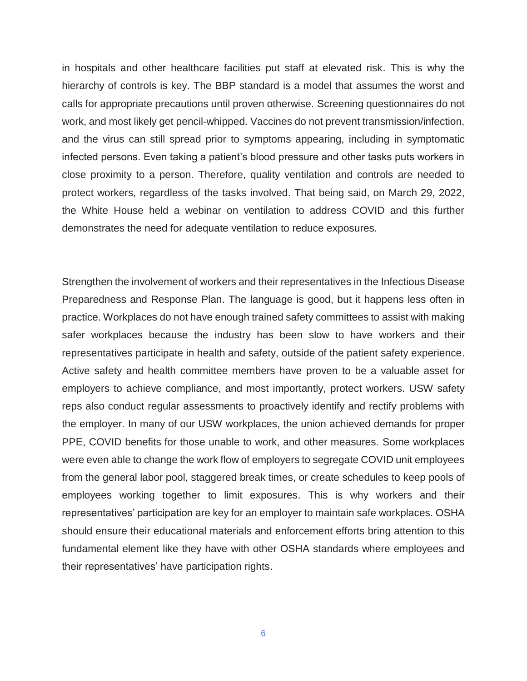in hospitals and other healthcare facilities put staff at elevated risk. This is why the hierarchy of controls is key. The BBP standard is a model that assumes the worst and calls for appropriate precautions until proven otherwise. Screening questionnaires do not work, and most likely get pencil-whipped. Vaccines do not prevent transmission/infection, and the virus can still spread prior to symptoms appearing, including in symptomatic infected persons. Even taking a patient's blood pressure and other tasks puts workers in close proximity to a person. Therefore, quality ventilation and controls are needed to protect workers, regardless of the tasks involved. That being said, on March 29, 2022, the White House held a webinar on ventilation to address COVID and this further demonstrates the need for adequate ventilation to reduce exposures.

Strengthen the involvement of workers and their representatives in the Infectious Disease Preparedness and Response Plan. The language is good, but it happens less often in practice. Workplaces do not have enough trained safety committees to assist with making safer workplaces because the industry has been slow to have workers and their representatives participate in health and safety, outside of the patient safety experience. Active safety and health committee members have proven to be a valuable asset for employers to achieve compliance, and most importantly, protect workers. USW safety reps also conduct regular assessments to proactively identify and rectify problems with the employer. In many of our USW workplaces, the union achieved demands for proper PPE, COVID benefits for those unable to work, and other measures. Some workplaces were even able to change the work flow of employers to segregate COVID unit employees from the general labor pool, staggered break times, or create schedules to keep pools of employees working together to limit exposures. This is why workers and their representatives' participation are key for an employer to maintain safe workplaces. OSHA should ensure their educational materials and enforcement efforts bring attention to this fundamental element like they have with other OSHA standards where employees and their representatives' have participation rights.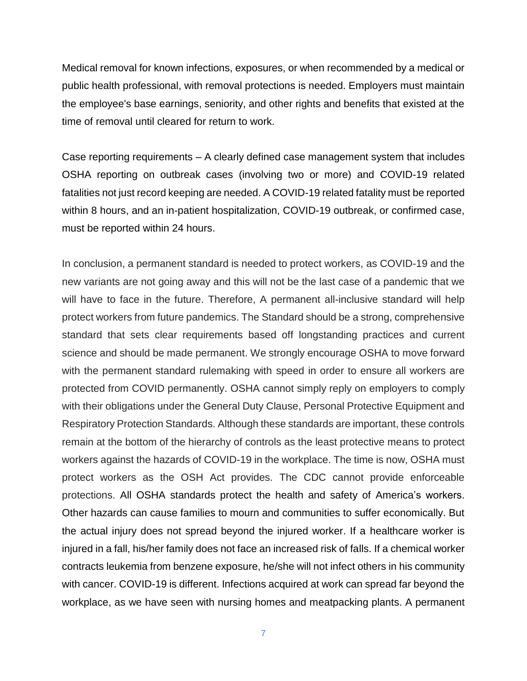Medical removal for known infections, exposures, or when recommended by a medical or public health professional, with removal protections is needed. Employers must maintain the employee's base earnings, seniority, and other rights and benefits that existed at the time of removal until cleared for return to work.

Case reporting requirements – A clearly defined case management system that includes OSHA reporting on outbreak cases (involving two or more) and COVID-19 related fatalities not just record keeping are needed. A COVID-19 related fatality must be reported within 8 hours, and an in-patient hospitalization, COVID-19 outbreak, or confirmed case, must be reported within 24 hours.

In conclusion, a permanent standard is needed to protect workers, as COVID-19 and the new variants are not going away and this will not be the last case of a pandemic that we will have to face in the future. Therefore, A permanent all-inclusive standard will help protect workers from future pandemics. The Standard should be a strong, comprehensive standard that sets clear requirements based off longstanding practices and current science and should be made permanent. We strongly encourage OSHA to move forward with the permanent standard rulemaking with speed in order to ensure all workers are protected from COVID permanently. OSHA cannot simply reply on employers to comply with their obligations under the General Duty Clause, Personal Protective Equipment and Respiratory Protection Standards. Although these standards are important, these controls remain at the bottom of the hierarchy of controls as the least protective means to protect workers against the hazards of COVID-19 in the workplace. The time is now, OSHA must protect workers as the OSH Act provides. The CDC cannot provide enforceable protections. All OSHA standards protect the health and safety of America's workers. Other hazards can cause families to mourn and communities to suffer economically. But the actual injury does not spread beyond the injured worker. If a healthcare worker is injured in a fall, his/her family does not face an increased risk of falls. If a chemical worker contracts leukemia from benzene exposure, he/she will not infect others in his community with cancer. COVID-19 is different. Infections acquired at work can spread far beyond the workplace, as we have seen with nursing homes and meatpacking plants. A permanent